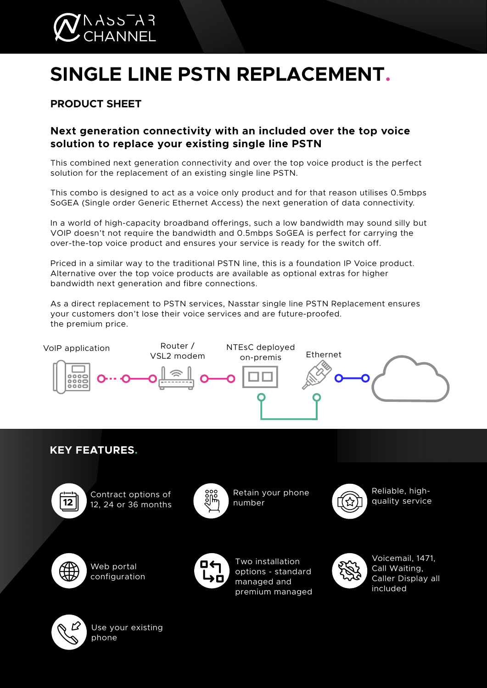

# **SINGLE LINE PSTN REPLACEMENT.**

# **PRODUCT SHEET**

## **Next generation connectivity with an included over the top voice solution to replace your existing single line PSTN**

This combined next generation connectivity and over the top voice product is the perfect solution for the replacement of an existing single line PSTN.

This combo is designed to act as a voice only product and for that reason utilises 0.5mbps SoGEA (Single order Generic Ethernet Access) the next generation of data connectivity.

In a world of high-capacity broadband offerings, such a low bandwidth may sound silly but VOIP doesn't not require the bandwidth and 0.5mbps SoGEA is perfect for carrying the over-the-top voice product and ensures your service is ready for the switch off.

Priced in a similar way to the traditional PSTN line, this is a foundation IP Voice product. Alternative over the top voice products are available as optional extras for higher bandwidth next generation and fibre connections.

As a direct replacement to PSTN services, Nasstar single line PSTN Replacement ensures your customers don't lose their voice services and are future-proofed. the premium price.



**KEY FEATURES.**



Contract options of 12, 24 or 36 months



Retain your phone number



Reliable, highquality service



Web portal configuration



Two installation options - standard managed and premium managed

Voicemail, 1471, Call Waiting, Caller Display all included



Use your existing phone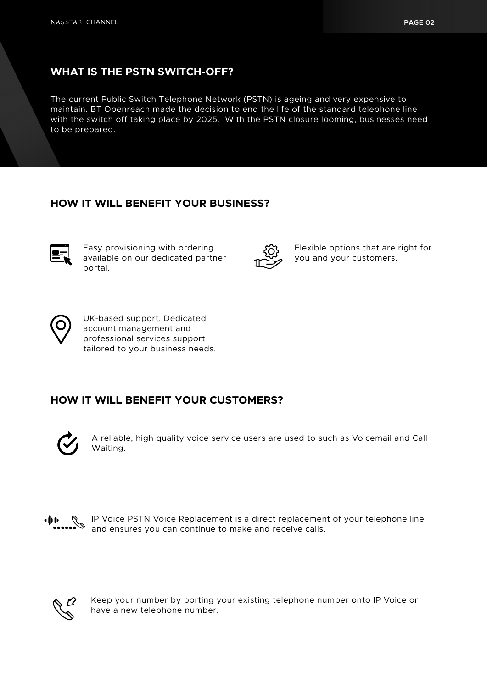### **WHAT IS THE PSTN SWITCH-OFF?**

The current Public Switch Telephone Network (PSTN) is ageing and very expensive to maintain. BT Openreach made the decision to end the life of the standard telephone line with the switch off taking place by 2025. With the PSTN closure looming, businesses need to be prepared.

#### **HOW IT WILL BENEFIT YOUR BUSINESS?**



Easy provisioning with ordering available on our dedicated partner portal.



Flexible options that are right for you and your customers.



UK-based support. Dedicated account management and professional services support tailored to your business needs.

## **HOW IT WILL BENEFIT YOUR CUSTOMERS?**



A reliable, high quality voice service users are used to such as Voicemail and Call Waiting.



IP Voice PSTN Voice Replacement is a direct replacement of your telephone line and ensures you can continue to make and receive calls.



Keep your number by porting your existing telephone number onto IP Voice or have a new telephone number.